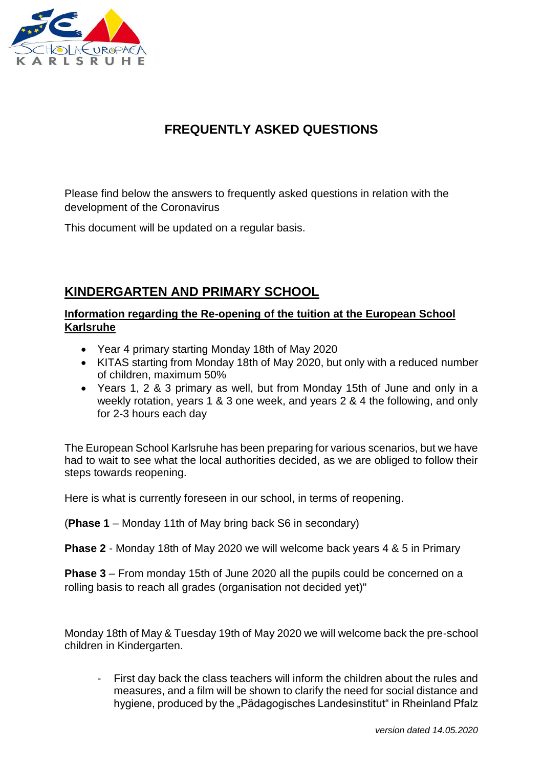

# **FREQUENTLY ASKED QUESTIONS**

Please find below the answers to frequently asked questions in relation with the development of the Coronavirus

This document will be updated on a regular basis.

## **KINDERGARTEN AND PRIMARY SCHOOL**

### **Information regarding the Re-opening of the tuition at the European School Karlsruhe**

- Year 4 primary starting Monday 18th of May 2020
- KITAS starting from Monday 18th of May 2020, but only with a reduced number of children, maximum 50%
- Years 1, 2 & 3 primary as well, but from Monday 15th of June and only in a weekly rotation, years 1 & 3 one week, and years 2 & 4 the following, and only for 2-3 hours each day

The European School Karlsruhe has been preparing for various scenarios, but we have had to wait to see what the local authorities decided, as we are obliged to follow their steps towards reopening.

Here is what is currently foreseen in our school, in terms of reopening.

(**Phase 1** – Monday 11th of May bring back S6 in secondary)

**Phase 2** - Monday 18th of May 2020 we will welcome back years 4 & 5 in Primary

**Phase 3** – From monday 15th of June 2020 all the pupils could be concerned on a rolling basis to reach all grades (organisation not decided yet)"

Monday 18th of May & Tuesday 19th of May 2020 we will welcome back the pre-school children in Kindergarten.

- First day back the class teachers will inform the children about the rules and measures, and a film will be shown to clarify the need for social distance and hygiene, produced by the "Pädagogisches Landesinstitut" in Rheinland Pfalz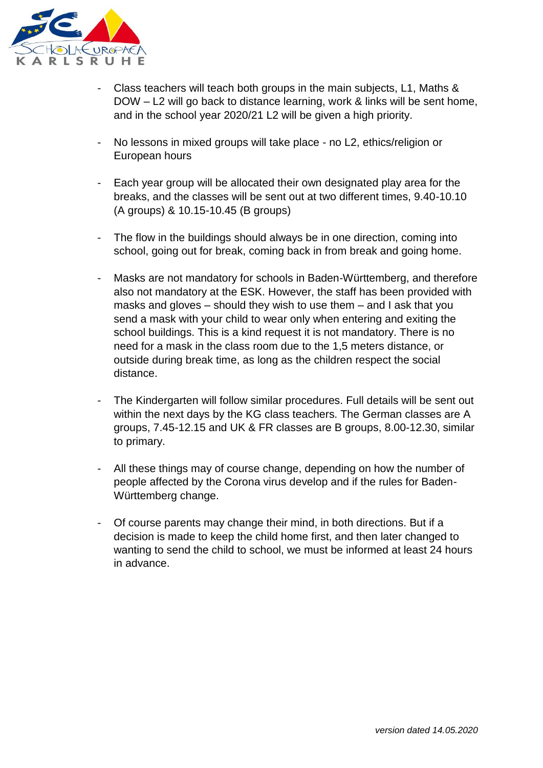

- Class teachers will teach both groups in the main subjects, L1, Maths & DOW – L2 will go back to distance learning, work & links will be sent home, and in the school year 2020/21 L2 will be given a high priority.
- No lessons in mixed groups will take place no L2, ethics/religion or European hours
- Each year group will be allocated their own designated play area for the breaks, and the classes will be sent out at two different times, 9.40-10.10 (A groups) & 10.15-10.45 (B groups)
- The flow in the buildings should always be in one direction, coming into school, going out for break, coming back in from break and going home.
- Masks are not mandatory for schools in Baden-Württemberg, and therefore also not mandatory at the ESK. However, the staff has been provided with masks and gloves – should they wish to use them – and I ask that you send a mask with your child to wear only when entering and exiting the school buildings. This is a kind request it is not mandatory. There is no need for a mask in the class room due to the 1,5 meters distance, or outside during break time, as long as the children respect the social distance.
- The Kindergarten will follow similar procedures. Full details will be sent out within the next days by the KG class teachers. The German classes are A groups, 7.45-12.15 and UK & FR classes are B groups, 8.00-12.30, similar to primary.
- All these things may of course change, depending on how the number of people affected by the Corona virus develop and if the rules for Baden-Württemberg change.
- Of course parents may change their mind, in both directions. But if a decision is made to keep the child home first, and then later changed to wanting to send the child to school, we must be informed at least 24 hours in advance.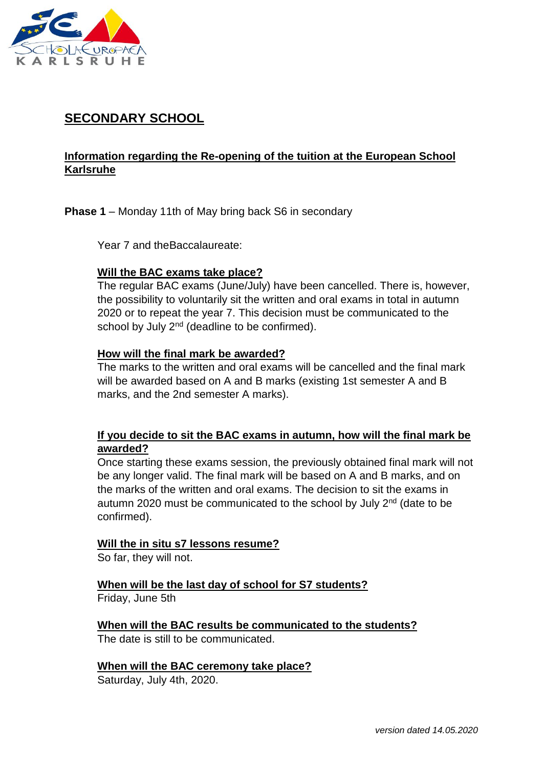

# **SECONDARY SCHOOL**

## **Information regarding the Re-opening of the tuition at the European School Karlsruhe**

**Phase 1** – Monday 11th of May bring back S6 in secondary

Year 7 and theBaccalaureate:

#### **Will the BAC exams take place?**

The regular BAC exams (June/July) have been cancelled. There is, however, the possibility to voluntarily sit the written and oral exams in total in autumn 2020 or to repeat the year 7. This decision must be communicated to the school by July 2<sup>nd</sup> (deadline to be confirmed).

#### **How will the final mark be awarded?**

The marks to the written and oral exams will be cancelled and the final mark will be awarded based on A and B marks (existing 1st semester A and B marks, and the 2nd semester A marks).

### **If you decide to sit the BAC exams in autumn, how will the final mark be awarded?**

Once starting these exams session, the previously obtained final mark will not be any longer valid. The final mark will be based on A and B marks, and on the marks of the written and oral exams. The decision to sit the exams in autumn 2020 must be communicated to the school by July 2<sup>nd</sup> (date to be confirmed).

#### **Will the in situ s7 lessons resume?**

So far, they will not.

**When will be the last day of school for S7 students?**

Friday, June 5th

**When will the BAC results be communicated to the students?** The date is still to be communicated.

**When will the BAC ceremony take place?**

Saturday, July 4th, 2020.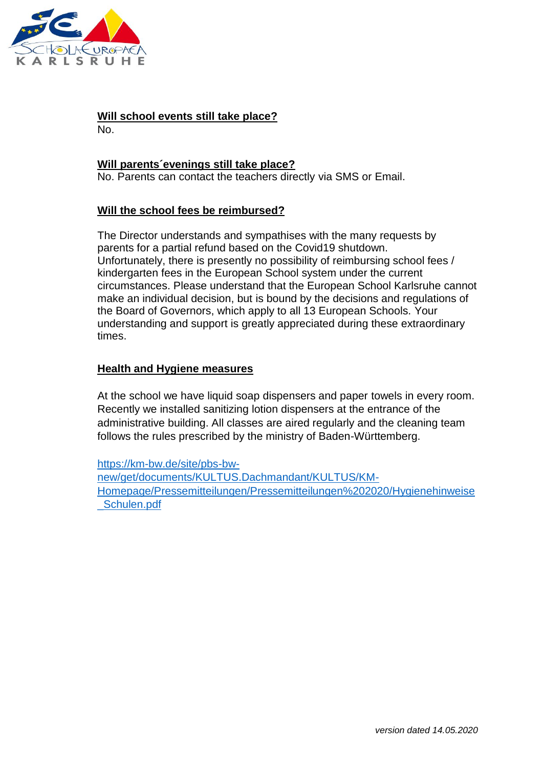

## **Will school events still take place?**

No.

### **Will parents´evenings still take place?**

No. Parents can contact the teachers directly via SMS or Email.

## **Will the school fees be reimbursed?**

The Director understands and sympathises with the many requests by parents for a partial refund based on the Covid19 shutdown. Unfortunately, there is presently no possibility of reimbursing school fees / kindergarten fees in the European School system under the current circumstances. Please understand that the European School Karlsruhe cannot make an individual decision, but is bound by the decisions and regulations of the Board of Governors, which apply to all 13 European Schools. Your understanding and support is greatly appreciated during these extraordinary times.

### **Health and Hygiene measures**

At the school we have liquid soap dispensers and paper towels in every room. Recently we installed sanitizing lotion dispensers at the entrance of the administrative building. All classes are aired regularly and the cleaning team follows the rules prescribed by the ministry of Baden-Württemberg.

[https://km-bw.de/site/pbs-bw](https://km-bw.de/site/pbs-bw-new/get/documents/KULTUS.Dachmandant/KULTUS/KM-Homepage/Pressemitteilungen/Pressemitteilungen%202020/Hygienehinweise_Schulen.pdf)[new/get/documents/KULTUS.Dachmandant/KULTUS/KM-](https://km-bw.de/site/pbs-bw-new/get/documents/KULTUS.Dachmandant/KULTUS/KM-Homepage/Pressemitteilungen/Pressemitteilungen%202020/Hygienehinweise_Schulen.pdf)[Homepage/Pressemitteilungen/Pressemitteilungen%202020/Hygienehinweise](https://km-bw.de/site/pbs-bw-new/get/documents/KULTUS.Dachmandant/KULTUS/KM-Homepage/Pressemitteilungen/Pressemitteilungen%202020/Hygienehinweise_Schulen.pdf) [\\_Schulen.pdf](https://km-bw.de/site/pbs-bw-new/get/documents/KULTUS.Dachmandant/KULTUS/KM-Homepage/Pressemitteilungen/Pressemitteilungen%202020/Hygienehinweise_Schulen.pdf)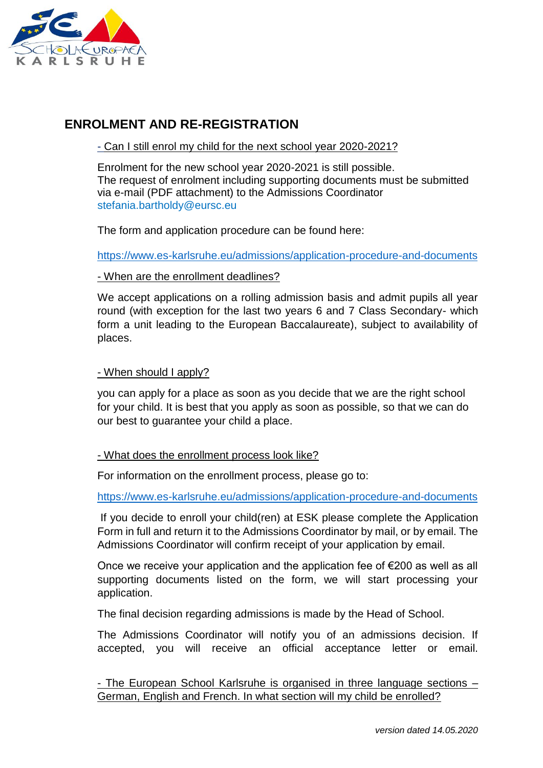

## **ENROLMENT AND RE-REGISTRATION**

### - Can I still enrol my child for the next school year 2020-2021?

Enrolment for the new school year 2020-2021 is still possible. The request of enrolment including supporting documents must be submitted via e-mail (PDF attachment) to the Admissions Coordinator [stefania.bartholdy@eursc.eu](mailto:stefania.bartholdy@eursc.eu)

The form and application procedure can be found here:

<https://www.es-karlsruhe.eu/admissions/application-procedure-and-documents>

#### - When are the enrollment deadlines?

We accept applications on a rolling admission basis and admit pupils all year round (with exception for the last two years 6 and 7 Class Secondary- which form a unit leading to the European Baccalaureate), subject to availability of places.

#### - When should I apply?

you can apply for a place as soon as you decide that we are the right school for your child. It is best that you apply as soon as possible, so that we can do our best to guarantee your child a place.

#### - What does the enrollment process look like?

For information on the enrollment process, please go to:

<https://www.es-karlsruhe.eu/admissions/application-procedure-and-documents>

If you decide to enroll your child(ren) at ESK please complete the Application Form in full and return it to the Admissions Coordinator by mail, or by email. The Admissions Coordinator will confirm receipt of your application by email.

Once we receive your application and the application fee of €200 as well as all supporting documents listed on the form, we will start processing your application.

The final decision regarding admissions is made by the Head of School.

The Admissions Coordinator will notify you of an admissions decision. If accepted, you will receive an official acceptance letter or email.

- The European School Karlsruhe is organised in three language sections – German, English and French. In what section will my child be enrolled?